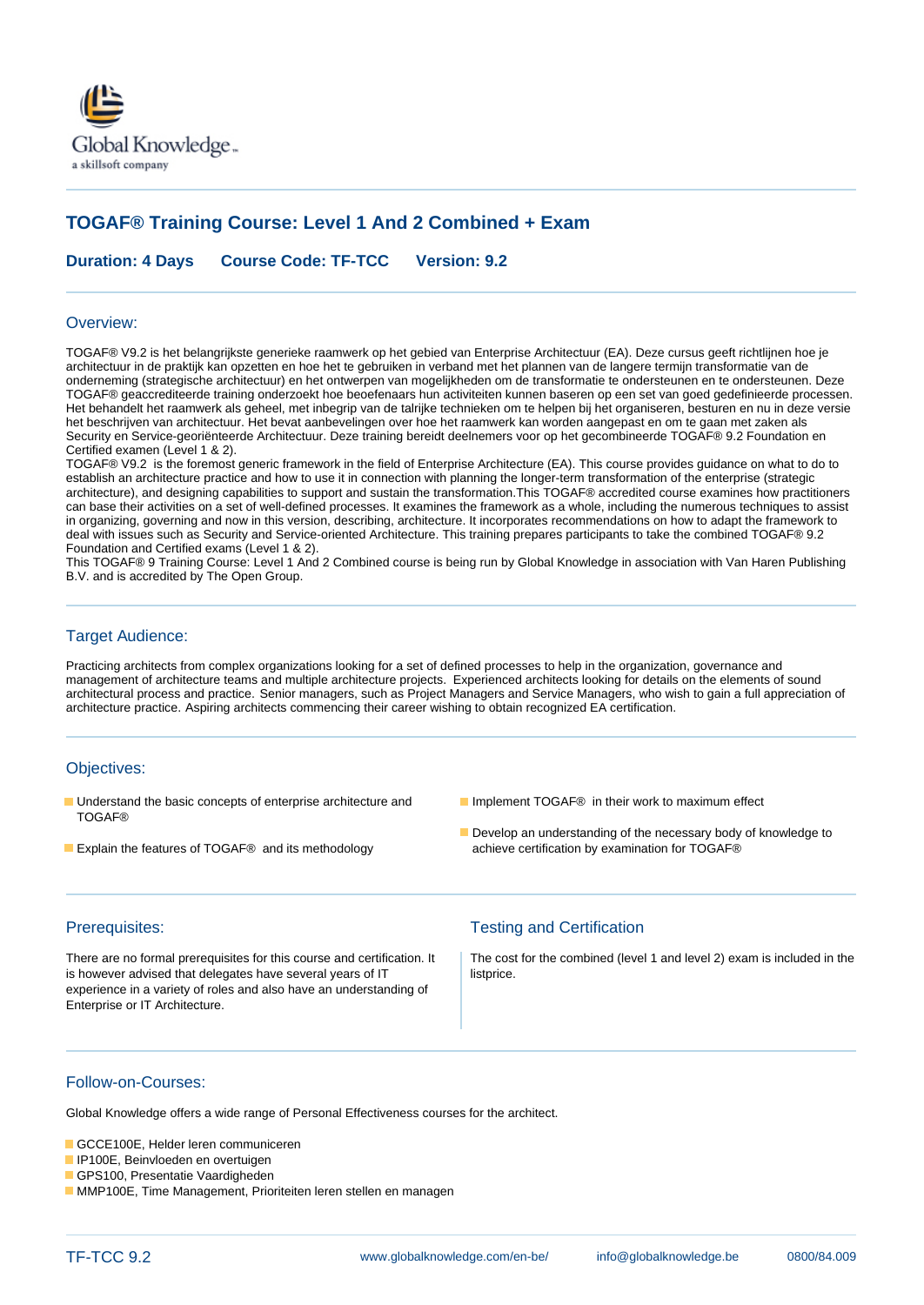

# **TOGAF® Training Course: Level 1 And 2 Combined + Exam**

**Duration: 4 Days Course Code: TF-TCC Version: 9.2**

### Overview:

TOGAF® V9.2 is het belangrijkste generieke raamwerk op het gebied van Enterprise Architectuur (EA). Deze cursus geeft richtlijnen hoe je architectuur in de praktijk kan opzetten en hoe het te gebruiken in verband met het plannen van de langere termijn transformatie van de onderneming (strategische architectuur) en het ontwerpen van mogelijkheden om de transformatie te ondersteunen en te ondersteunen. Deze TOGAF® geaccrediteerde training onderzoekt hoe beoefenaars hun activiteiten kunnen baseren op een set van goed gedefinieerde processen. Het behandelt het raamwerk als geheel, met inbegrip van de talrijke technieken om te helpen bij het organiseren, besturen en nu in deze versie het beschrijven van architectuur. Het bevat aanbevelingen over hoe het raamwerk kan worden aangepast en om te gaan met zaken als Security en Service-georiënteerde Architectuur. Deze training bereidt deelnemers voor op het gecombineerde TOGAF® 9.2 Foundation en Certified examen (Level 1 & 2).

TOGAF® V9.2 is the foremost generic framework in the field of Enterprise Architecture (EA). This course provides guidance on what to do to establish an architecture practice and how to use it in connection with planning the longer-term transformation of the enterprise (strategic architecture), and designing capabilities to support and sustain the transformation.This TOGAF® accredited course examines how practitioners can base their activities on a set of well-defined processes. It examines the framework as a whole, including the numerous techniques to assist in organizing, governing and now in this version, describing, architecture. It incorporates recommendations on how to adapt the framework to deal with issues such as Security and Service-oriented Architecture. This training prepares participants to take the combined TOGAF® 9.2 Foundation and Certified exams (Level 1 & 2).

This TOGAF® 9 Training Course: Level 1 And 2 Combined course is being run by Global Knowledge in association with Van Haren Publishing B.V. and is accredited by The Open Group.

### Target Audience:

Practicing architects from complex organizations looking for a set of defined processes to help in the organization, governance and management of architecture teams and multiple architecture projects. Experienced architects looking for details on the elements of sound architectural process and practice. Senior managers, such as Project Managers and Service Managers, who wish to gain a full appreciation of architecture practice. Aspiring architects commencing their career wishing to obtain recognized EA certification.

### Objectives:

- Understand the basic concepts of enterprise architecture and Implement TOGAF® in their work to maximum effect TOGAF®
- Explain the features of TOGAF® and its methodology achieve certification by examination for TOGAF®
- 
- Develop an understanding of the necessary body of knowledge to

is however advised that delegates have several years of IT listprice. experience in a variety of roles and also have an understanding of Enterprise or IT Architecture.

## Prerequisites: Testing and Certification

There are no formal prerequisites for this course and certification. It | The cost for the combined (level 1 and level 2) exam is included in the

### Follow-on-Courses:

Global Knowledge offers a wide range of Personal Effectiveness courses for the architect.

- GCCE100E, Helder leren communiceren
- IP100E, Beinvloeden en overtuigen
- GPS100, Presentatie Vaardigheden
- **MMP100E, Time Management, Prioriteiten leren stellen en managen**